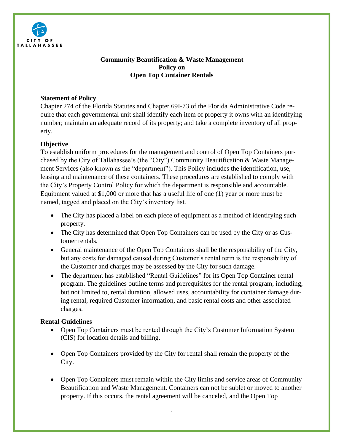

# **Community Beautification & Waste Management Policy on Open Top Container Rentals**

## **Statement of Policy**

Chapter 274 of the Florida Statutes and Chapter 69I-73 of the Florida Administrative Code require that each governmental unit shall identify each item of property it owns with an identifying number; maintain an adequate record of its property; and take a complete inventory of all property.

## **Objective**

To establish uniform procedures for the management and control of Open Top Containers purchased by the City of Tallahassee's (the "City") Community Beautification & Waste Management Services (also known as the "department"). This Policy includes the identification, use, leasing and maintenance of these containers. These procedures are established to comply with the City's Property Control Policy for which the department is responsible and accountable. Equipment valued at \$1,000 or more that has a useful life of one (1) year or more must be named, tagged and placed on the City's inventory list.

- The City has placed a label on each piece of equipment as a method of identifying such property.
- The City has determined that Open Top Containers can be used by the City or as Customer rentals.
- General maintenance of the Open Top Containers shall be the responsibility of the City, but any costs for damaged caused during Customer's rental term is the responsibility of the Customer and charges may be assessed by the City for such damage.
- The department has established "Rental Guidelines" for its Open Top Container rental program. The guidelines outline terms and prerequisites for the rental program, including, but not limited to, rental duration, allowed uses, accountability for container damage during rental, required Customer information, and basic rental costs and other associated charges.

### **Rental Guidelines**

- Open Top Containers must be rented through the City's Customer Information System (CIS) for location details and billing.
- Open Top Containers provided by the City for rental shall remain the property of the City.
- Open Top Containers must remain within the City limits and service areas of Community Beautification and Waste Management. Containers can not be sublet or moved to another property. If this occurs, the rental agreement will be canceled, and the Open Top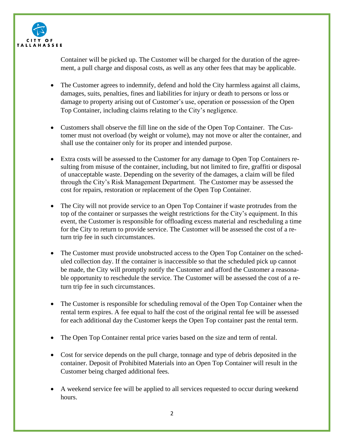

Container will be picked up. The Customer will be charged for the duration of the agreement, a pull charge and disposal costs, as well as any other fees that may be applicable.

- The Customer agrees to indemnify, defend and hold the City harmless against all claims, damages, suits, penalties, fines and liabilities for injury or death to persons or loss or damage to property arising out of Customer's use, operation or possession of the Open Top Container, including claims relating to the City's negligence.
- Customers shall observe the fill line on the side of the Open Top Container. The Customer must not overload (by weight or volume), may not move or alter the container, and shall use the container only for its proper and intended purpose.
- Extra costs will be assessed to the Customer for any damage to Open Top Containers resulting from misuse of the container, including, but not limited to fire, graffiti or disposal of unacceptable waste. Depending on the severity of the damages, a claim will be filed through the City's Risk Management Department. The Customer may be assessed the cost for repairs, restoration or replacement of the Open Top Container.
- The City will not provide service to an Open Top Container if waste protrudes from the top of the container or surpasses the weight restrictions for the City's equipment. In this event, the Customer is responsible for offloading excess material and rescheduling a time for the City to return to provide service. The Customer will be assessed the cost of a return trip fee in such circumstances.
- The Customer must provide unobstructed access to the Open Top Container on the scheduled collection day. If the container is inaccessible so that the scheduled pick up cannot be made, the City will promptly notify the Customer and afford the Customer a reasonable opportunity to reschedule the service. The Customer will be assessed the cost of a return trip fee in such circumstances.
- The Customer is responsible for scheduling removal of the Open Top Container when the rental term expires. A fee equal to half the cost of the original rental fee will be assessed for each additional day the Customer keeps the Open Top container past the rental term.
- The Open Top Container rental price varies based on the size and term of rental.
- Cost for service depends on the pull charge, tonnage and type of debris deposited in the container. Deposit of Prohibited Materials into an Open Top Container will result in the Customer being charged additional fees.
- A weekend service fee will be applied to all services requested to occur during weekend hours.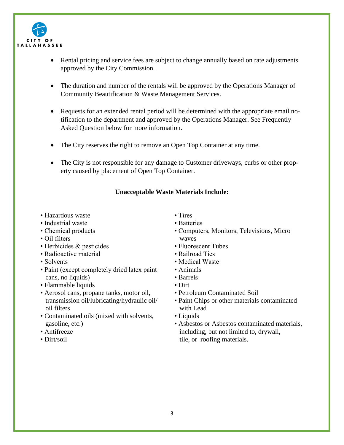

- Rental pricing and service fees are subject to change annually based on rate adjustments approved by the City Commission.
- The duration and number of the rentals will be approved by the Operations Manager of Community Beautification & Waste Management Services.
- Requests for an extended rental period will be determined with the appropriate email notification to the department and approved by the Operations Manager. See Frequently Asked Question below for more information.
- The City reserves the right to remove an Open Top Container at any time.
- The City is not responsible for any damage to Customer driveways, curbs or other property caused by placement of Open Top Container.

### **Unacceptable Waste Materials Include:**

- Hazardous waste
- Industrial waste
- Chemical products
- Oil filters
- Herbicides & pesticides
- Radioactive material
- Solvents
- Paint (except completely dried latex paint cans, no liquids)
- Flammable liquids
- Aerosol cans, propane tanks, motor oil, transmission oil/lubricating/hydraulic oil/ oil filters
- Contaminated oils (mixed with solvents, gasoline, etc.)
- Antifreeze
- Dirt/soil
- Tires
- Batteries
- Computers, Monitors, Televisions, Micro waves
- Fluorescent Tubes
- Railroad Ties
- Medical Waste
- Animals
- Barrels
- Dirt
- Petroleum Contaminated Soil
- Paint Chips or other materials contaminated with Lead
- Liquids
- Asbestos or Asbestos contaminated materials, including, but not limited to, drywall, tile, or roofing materials.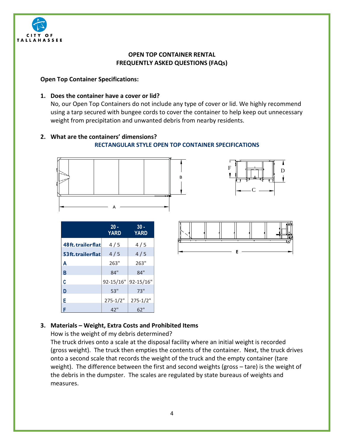

## **OPEN TOP CONTAINER RENTAL FREQUENTLY ASKED QUESTIONS (FAQs)**

### **Open Top Container Specifications:**

#### **1. Does the container have a cover or lid?**

No, our Open Top Containers do not include any type of cover or lid. We highly recommend using a tarp secured with bungee cords to cover the container to help keep out unnecessary weight from precipitation and unwanted debris from nearby residents.

# **2. What are the containers' dimensions?**

#### **RECTANGULAR STYLE OPEN TOP CONTAINER SPECIFICATIONS**





|                  | $20 -$<br><b>YARD</b> | $30 -$<br><b>YARD</b> |
|------------------|-----------------------|-----------------------|
| 48ft.trailerflat | 4/5                   | 4/5                   |
| 53ft.trailerflat | 4/5                   | 4/5                   |
| Α                | 263"                  | 263"                  |
| B                | 84"                   | 84"                   |
| C                | 92-15/16"             | 92-15/16"             |
| D                | 53"                   | 73"                   |
| E                | $275 - 1/2"$          | $275 - 1/2"$          |
| F                | 42"                   | 62"                   |



### **3. Materials – Weight, Extra Costs and Prohibited Items**

How is the weight of my debris determined?

The truck drives onto a scale at the disposal facility where an initial weight is recorded (gross weight). The truck then empties the contents of the container. Next, the truck drives onto a second scale that records the weight of the truck and the empty container (tare weight). The difference between the first and second weights (gross – tare) is the weight of the debris in the dumpster. The scales are regulated by state bureaus of weights and measures.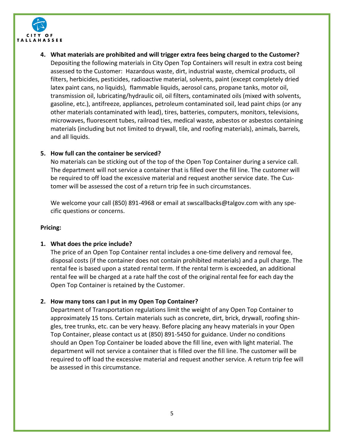

**4. What materials are prohibited and will trigger extra fees being charged to the Customer?** Depositing the following materials in City Open Top Containers will result in extra cost being assessed to the Customer: Hazardous waste, dirt, industrial waste, chemical products, oil filters, herbicides, pesticides, radioactive material, solvents, paint (except completely dried latex paint cans, no liquids), flammable liquids, aerosol cans, propane tanks, motor oil, transmission oil, lubricating/hydraulic oil, oil filters, contaminated oils (mixed with solvents, gasoline, etc.), antifreeze, appliances, petroleum contaminated soil, lead paint chips (or any other materials contaminated with lead), tires, batteries, computers, monitors, televisions, microwaves, fluorescent tubes, railroad ties, medical waste, asbestos or asbestos containing materials (including but not limited to drywall, tile, and roofing materials), animals, barrels, and all liquids.

### **5. How full can the container be serviced?**

No materials can be sticking out of the top of the Open Top Container during a service call. The department will not service a container that is filled over the fill line. The customer will be required to off load the excessive material and request another service date. The Customer will be assessed the cost of a return trip fee in such circumstances.

We welcome your call (850) 891-4968 or email at swscallbacks@talgov.com with any specific questions or concerns.

#### **Pricing:**

#### **1. What does the price include?**

The price of an Open Top Container rental includes a one-time delivery and removal fee, disposal costs (if the container does not contain prohibited materials) and a pull charge. The rental fee is based upon a stated rental term. If the rental term is exceeded, an additional rental fee will be charged at a rate half the cost of the original rental fee for each day the Open Top Container is retained by the Customer.

#### **2. How many tons can I put in my Open Top Container?**

Department of Transportation regulations limit the weight of any Open Top Container to approximately 15 tons. Certain materials such as concrete, dirt, brick, drywall, roofing shingles, tree trunks, etc. can be very heavy. Before placing any heavy materials in your Open Top Container, please contact us at (850) 891-5450 for guidance. Under no conditions should an Open Top Container be loaded above the fill line, even with light material. The department will not service a container that is filled over the fill line. The customer will be required to off load the excessive material and request another service. A return trip fee will be assessed in this circumstance.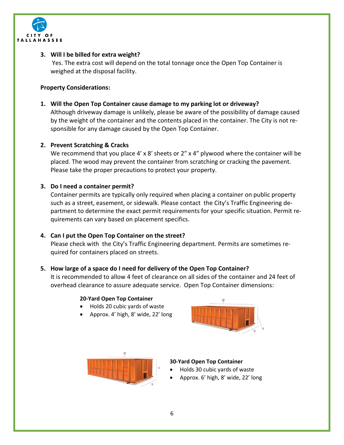

# **3. Will I be billed for extra weight?**

Yes. The extra cost will depend on the total tonnage once the Open Top Container is weighed at the disposal facility.

#### **Property Considerations:**

**1. Will the Open Top Container cause damage to my parking lot or driveway?**

Although driveway damage is unlikely, please be aware of the possibility of damage caused by the weight of the container and the contents placed in the container. The City is not responsible for any damage caused by the Open Top Container.

## **2. Prevent Scratching & Cracks**

We recommend that you place 4' x 8' sheets or 2" x 4" plywood where the container will be placed. The wood may prevent the container from scratching or cracking the pavement. Please take the proper precautions to protect your property.

### **3. Do I need a container permit?**

Container permits are typically only required when placing a container on public property such as a street, easement, or sidewalk. Please contact the City's Traffic Engineering department to determine the exact permit requirements for your specific situation. Permit requirements can vary based on placement specifics.

### **4. Can I put the Open Top Container on the street?**

Please check with the City's Traffic Engineering department. Permits are sometimes required for containers placed on streets.

# **5. How large of a space do I need for delivery of the Open Top Container?**

It is recommended to allow 4 feet of clearance on all sides of the container and 24 feet of overhead clearance to assure adequate service. Open Top Container dimensions:

### **20-Yard Open Top Container**

- Holds 20 cubic yards of waste
- Approx. 4' high, 8' wide, 22' long





### **30-Yard Open Top Container**

- Holds 30 cubic yards of waste
- Approx. 6' high, 8' wide, 22' long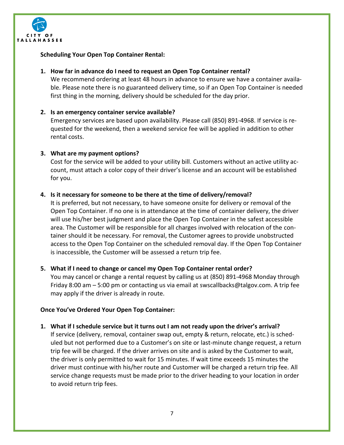

**Scheduling Your Open Top Container Rental:**

### **1. How far in advance do I need to request an Open Top Container rental?**

We recommend ordering at least 48 hours in advance to ensure we have a container available. Please note there is no guaranteed delivery time, so if an Open Top Container is needed first thing in the morning, delivery should be scheduled for the day prior.

## **2. Is an emergency container service available?**

Emergency services are based upon availability. Please call (850) 891-4968. If service is requested for the weekend, then a weekend service fee will be applied in addition to other rental costs.

## **3. What are my payment options?**

Cost for the service will be added to your utility bill. Customers without an active utility account, must attach a color copy of their driver's license and an account will be established for you.

## **4. Is it necessary for someone to be there at the time of delivery/removal?**

It is preferred, but not necessary, to have someone onsite for delivery or removal of the Open Top Container. If no one is in attendance at the time of container delivery, the driver will use his/her best judgment and place the Open Top Container in the safest accessible area. The Customer will be responsible for all charges involved with relocation of the container should it be necessary. For removal, the Customer agrees to provide unobstructed access to the Open Top Container on the scheduled removal day. If the Open Top Container is inaccessible, the Customer will be assessed a return trip fee.

### **5. What if I need to change or cancel my Open Top Container rental order?**

You may cancel or change a rental request by calling us at (850) 891-4968 Monday through Friday 8:00 am – 5:00 pm or contacting us via email at swscallbacks@talgov.com. A trip fee may apply if the driver is already in route.

### **Once You've Ordered Your Open Top Container:**

**1. What if I schedule service but it turns out I am not ready upon the driver's arrival?** If service (delivery, removal, container swap out, empty & return, relocate, etc.) is scheduled but not performed due to a Customer's on site or last-minute change request, a return trip fee will be charged. If the driver arrives on site and is asked by the Customer to wait, the driver is only permitted to wait for 15 minutes. If wait time exceeds 15 minutes the driver must continue with his/her route and Customer will be charged a return trip fee. All service change requests must be made prior to the driver heading to your location in order to avoid return trip fees.